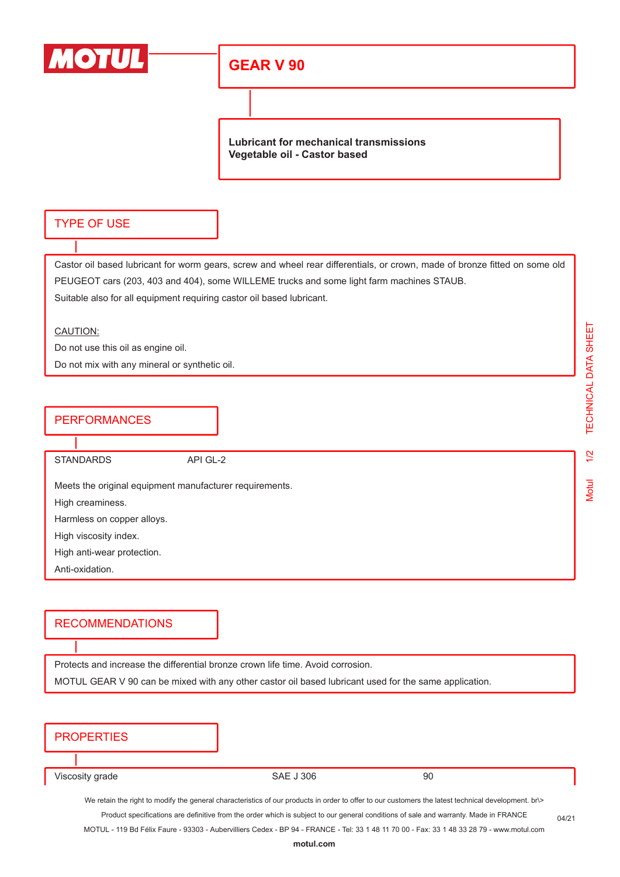

## **GEAR V 90**

**Lubricant for mechanical transmissions Vegetable oil - Castor based**

#### TYPE OF USE

Castor oil based lubricant for worm gears, screw and wheel rear differentials, or crown, made of bronze fitted on some old PEUGEOT cars (203, 403 and 404), some WILLEME trucks and some light farm machines STAUB. Suitable also for all equipment requiring castor oil based lubricant.

#### CAUTION:

Do not use this oil as engine oil.

Do not mix with any mineral or synthetic oil.

### **PERFORMANCES**

STANDARDS API GL-2

Meets the original equipment manufacturer requirements.

High creaminess.

Harmless on copper alloys.

High viscosity index.

High anti-wear protection.

Anti-oxidation.

#### RECOMMENDATIONS

Protects and increase the differential bronze crown life time. Avoid corrosion.

MOTUL GEAR V 90 can be mixed with any other castor oil based lubricant used for the same application.

| <b>PROPERTIES</b> |  |
|-------------------|--|
|                   |  |

Viscosity grade 90

We retain the right to modify the general characteristics of our products in order to offer to our customers the latest technical development. br\> Product specifications are definitive from the order which is subject to our general conditions of sale and warranty. Made in FRANCE

MOTUL - 119 Bd Félix Faure - 93303 - Aubervilliers Cedex - BP 94 - FRANCE - Tel: 33 1 48 11 70 00 - Fax: 33 1 48 33 28 79 - www.motul.com

TECHNICAL DATA SHEET

 $1/2$ 

04/21